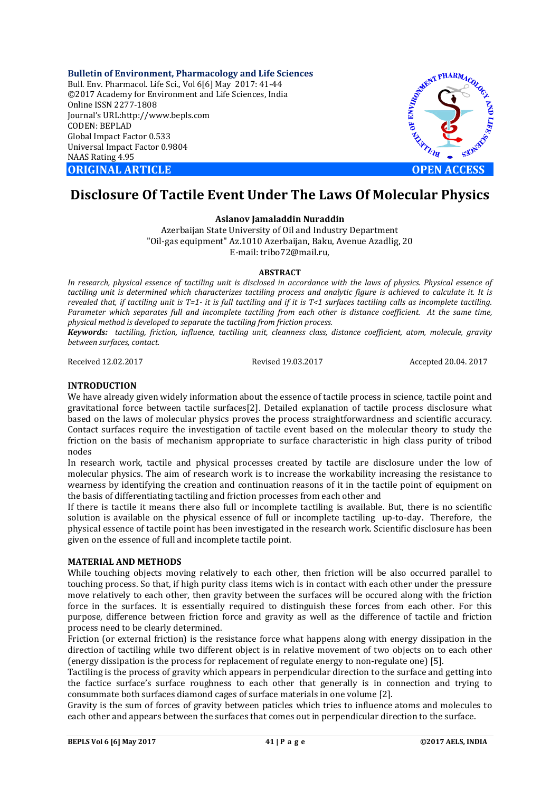**Bulletin of Environment, Pharmacology and Life Sciences** Bull. Env. Pharmacol. Life Sci., Vol 6[6] May 2017: 41-44 ©2017 Academy for Environment and Life Sciences, India Online ISSN 2277-1808 Journal's URL:http://www.bepls.com CODEN: BEPLAD Global Impact Factor 0.533 Universal Impact Factor 0.9804 NAAS Rating 4.95 **ORIGINAL ARTICLE OPEN ACCESS** 



# **Disclosure Of Tactile Event Under The Laws Of Molecular Physics**

# **Aslanov Jamaladdin Nuraddin**

Azerbaijan State University of Oil and Industry Department "Oil-gas equipment" Az.1010 Azerbaijan, Baku, Avenue Azadlig, 20 E-mail: tribo72@mail.ru,

# **ABSTRACT**

In research, physical essence of tactiling unit is disclosed in accordance with the laws of physics. Physical essence of tactiling unit is determined which characterizes tactiling process and analytic figure is achieved to calculate it. It is *revealed that, if tactiling unit is T=1- it is full tactiling and if it is T<1 surfaces tactiling calls as incomplete tactiling. Parameter which separates full and incomplete tactiling from each other is distance coefficient. At the same time, physical method is developed to separate the tactiling from friction process.*

*Keywords: tactiling, friction, influence, tactiling unit, cleanness class, distance coefficient, atom, molecule, gravity between surfaces, contact.*

Received 12.02.2017 Revised 19.03.2017 Accepted 20.04. 2017

# **INTRODUCTION**

We have already given widely information about the essence of tactile process in science, tactile point and gravitational force between tactile surfaces[2]. Detailed explanation of tactile process disclosure what based on the laws of molecular physics proves the process straightforwardness and scientific accuracy. Contact surfaces require the investigation of tactile event based on the molecular theory to study the friction on the basis of mechanism appropriate to surface characteristic in high class purity of tribod nodes

In research work, tactile and physical processes created by tactile are disclosure under the low of molecular physics. The aim of research work is to increase the workability increasing the resistance to wearness by identifying the creation and continuation reasons of it in the tactile point of equipment on the basis of differentiating tactiling and friction processes from each other and

If there is tactile it means there also full or incomplete tactiling is available. But, there is no scientific solution is available on the physical essence of full or incomplete tactiling up-to-day. Therefore, the physical essence of tactile point has been investigated in the research work. Scientific disclosure has been given on the essence of full and incomplete tactile point.

# **MATERIAL AND METHODS**

While touching objects moving relatively to each other, then friction will be also occurred parallel to touching process. So that, if high purity class items wich is in contact with each other under the pressure move relatively to each other, then gravity between the surfaces will be occured along with the friction force in the surfaces. It is essentially required to distinguish these forces from each other. For this purpose, difference between friction force and gravity as well as the difference of tactile and friction process need to be clearly determined.

Friction (or external friction) is the resistance force what happens along with energy dissipation in the direction of tactiling while two different object is in relative movement of two objects on to each other (energy dissipation is the process for replacement of regulate energy to non-regulate one) [5].

Tactiling is the process of gravity which appears in perpendicular direction to the surface and getting into the factice surface's surface roughness to each other that generally is in connection and trying to consummate both surfaces diamond cages of surface materials in one volume [2].

Gravity is the sum of forces of gravity between paticles which tries to influence atoms and molecules to each other and appears between the surfaces that comes out in perpendicular direction to the surface.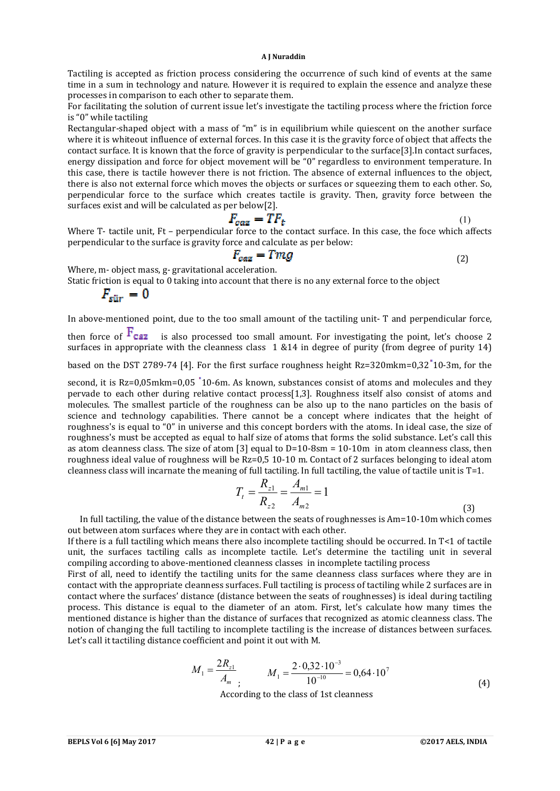#### **A J Nuraddin**

Tactiling is accepted as friction process considering the occurrence of such kind of events at the same time in a sum in technology and nature. However it is required to explain the essence and analyze these processes in comparison to each other to separate them.

For facilitating the solution of current issue let's investigate the tactiling process where the friction force is "0" while tactiling

Rectangular-shaped object with a mass of "m" is in equilibrium while quiescent on the another surface where it is whiteout influence of external forces. In this case it is the gravity force of object that affects the contact surface. It is known that the force of gravity is perpendicular to the surface[3].In contact surfaces, energy dissipation and force for object movement will be "0" regardless to environment temperature. In this case, there is tactile however there is not friction. The absence of external influences to the object, there is also not external force which moves the objects or surfaces or squeezing them to each other. So, perpendicular force to the surface which creates tactile is gravity. Then, gravity force between the surfaces exist and will be calculated as per below[2].

$$
F_{caz} = TF_t \tag{1}
$$

Where T- tactile unit, Ft - perpendicular force to the contact surface. In this case, the foce which affects perpendicular to the surface is gravity force and calculate as per below:

$$
F_{caz} = Tmg \tag{2}
$$

Where, m- object mass, g- gravitational acceleration.

Static friction is equal to 0 taking into account that there is no any external force to the object

$$
F_{\rm{stir}}=0
$$

In above-mentioned point, due to the too small amount of the tactiling unit- T and perpendicular force,

then force of  $\overline{F_{C2Z}}$  is also processed too small amount. For investigating the point, let's choose 2 surfaces in appropriate with the cleanness class 1 &14 in degree of purity (from degree of purity 14)

based on the DST 2789-74 [4]. For the first surface roughness height Rz=320mkm=0,32 10-3m, for the

second, it is Rz=0,05mkm=0,05 <sup>1</sup>10-6m. As known, substances consist of atoms and molecules and they pervade to each other during relative contact process[1,3]. Roughness itself also consist of atoms and molecules. The smallest particle of the roughness can be also up to the nano particles on the basis of science and technology capabilities. There cannot be a concept where indicates that the height of roughness's is equal to "0" in universe and this concept borders with the atoms. In ideal case, the size of roughness's must be accepted as equal to half size of atoms that forms the solid substance. Let's call this as atom cleanness class. The size of atom [3] equal to D=10-8sm = 10-10m in atom cleanness class, then roughness ideal value of roughness will be Rz=0,5 10-10 m. Contact of 2 surfaces belonging to ideal atom cleanness class will incarnate the meaning of full tactiling. In full tactiling, the value of tactile unit is T=1.

$$
T_{t} = \frac{R_{z1}}{R_{z2}} = \frac{A_{m1}}{A_{m2}} = 1
$$
\n(3)

 In full tactiling, the value of the distance between the seats of roughnesses is Am=10-10m which comes out between atom surfaces where they are in contact with each other.

If there is a full tactiling which means there also incomplete tactiling should be occurred. In T<1 of tactile unit, the surfaces tactiling calls as incomplete tactile. Let's determine the tactiling unit in several compiling according to above-mentioned cleanness classes in incomplete tactiling process

First of all, need to identify the tactiling units for the same cleanness class surfaces where they are in contact with the appropriate cleanness surfaces. Full tactiling is process of tactiling while 2 surfaces are in contact where the surfaces' distance (distance between the seats of roughnesses) is ideal during tactiling process. This distance is equal to the diameter of an atom. First, let's calculate how many times the mentioned distance is higher than the distance of surfaces that recognized as atomic cleanness class. The notion of changing the full tactiling to incomplete tactiling is the increase of distances between surfaces. Let's call it tactiling distance coefficient and point it out with M.

$$
M_1 = \frac{2R_{z1}}{A_m}
$$
  
 
$$
M_1 = \frac{2 \cdot 0.32 \cdot 10^{-3}}{10^{-10}} = 0.64 \cdot 10^7
$$
 (4)

According to the class of 1st cleanness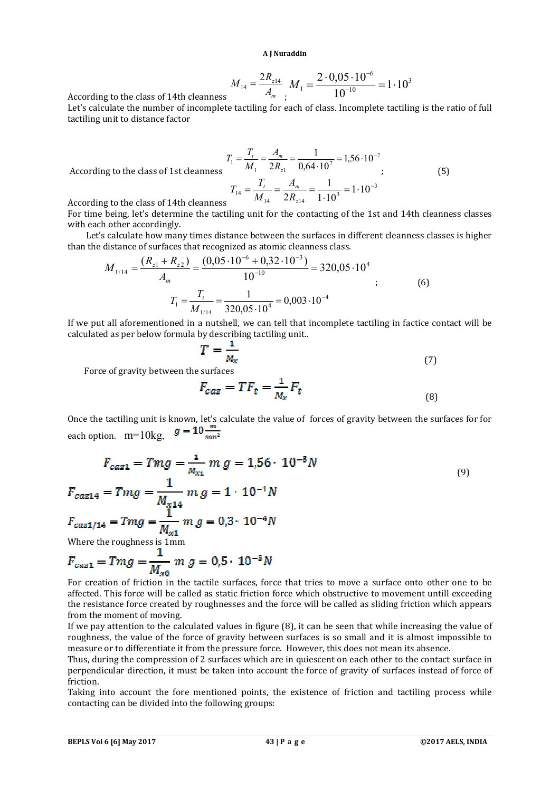**A J Nuraddin**

$$
M_{14} = \frac{2R_{z14}}{A_m} M_1 = \frac{2 \cdot 0.05 \cdot 10^{-6}}{10^{-10}} = 1 \cdot 10^3
$$

According to the class of 14th cleanness *<sup>m</sup>*

Let's calculate the number of incomplete tactiling for each of class. Incomplete tactiling is the ratio of full tactiling unit to distance factor

$$
T_1 = \frac{T_t}{M_1} = \frac{A_m}{2R_{z1}} = \frac{1}{0.64 \cdot 10^7} = 1.56 \cdot 10^{-7}
$$
  
According to the class of 1st elements  

$$
T_{14} = \frac{T_t}{M_{14}} = \frac{A_m}{2R_{z14}} = \frac{1}{1 \cdot 10^3} = 1 \cdot 10^{-3}
$$
(5)

According to the class of 1st cleani

For time being, let's determine the tactiling unit for the contacting of the 1st and 14th cleanness classes with each other accordingly.

 Let's calculate how many times distance between the surfaces in different cleanness classes is higher than the distance of surfaces that recognized as atomic cleanness class.

$$
M_{1/14} = \frac{(R_{z1} + R_{z2})}{A_m} = \frac{(0.05 \cdot 10^{-6} + 0.32 \cdot 10^{-3})}{10^{-10}} = 320.05 \cdot 10^{4}
$$
  

$$
T_1 = \frac{T_t}{M_{1/14}} = \frac{1}{320.05 \cdot 10^{4}} = 0.003 \cdot 10^{-4}
$$
 (6)

If we put all aforementioned in a nutshell, we can tell that incomplete tactiling in factice contact will be calculated as per below formula by describing tactiling unit..

$$
T = \frac{1}{M_{\mathcal{X}}} \tag{7}
$$

Force of gravity between the surfaces

$$
F_{caz} = TF_t = \frac{1}{M_x} F_t \tag{8}
$$

Once the tactiling unit is known, let's calculate the value of forces of gravity between the surfaces for for each option.  $m=10kg$ ,  $g = 10 \frac{m}{\text{s}m^2}$ 

$$
F_{caz1} = Tmg = \frac{1}{M_{X1}} m g = 1.56 \cdot 10^{-5} N
$$
  
\n
$$
F_{caz14} = Tmg = \frac{1}{M_{X14}} m g = 1 \cdot 10^{-1} N
$$
  
\n
$$
F_{caz1/14} = Tmg = \frac{1}{M_{X1}} m g = 0.3 \cdot 10^{-4} N
$$
  
\nWhere the roughness is 1mm

 $F_{cuz1} = Tmg = \frac{1}{M_{xo}} m g = 0.5 \cdot 10^{-5} N$ 

For creation of friction in the tactile surfaces, force that tries to move a surface onto other one to be affected. This force will be called as static friction force which obstructive to movement untill exceeding the resistance force created by roughnesses and the force will be called as sliding friction which appears from the moment of moving.

If we pay attention to the calculated values in figure (8), it can be seen that while increasing the value of roughness, the value of the force of gravity between surfaces is so small and it is almost impossible to measure or to differentiate it from the pressure force. However, this does not mean its absence.

Thus, during the compression of 2 surfaces which are in quiescent on each other to the contact surface in perpendicular direction, it must be taken into account the force of gravity of surfaces instead of force of friction.

Taking into account the fore mentioned points, the existence of friction and tactiling process while contacting can be divided into the following groups: